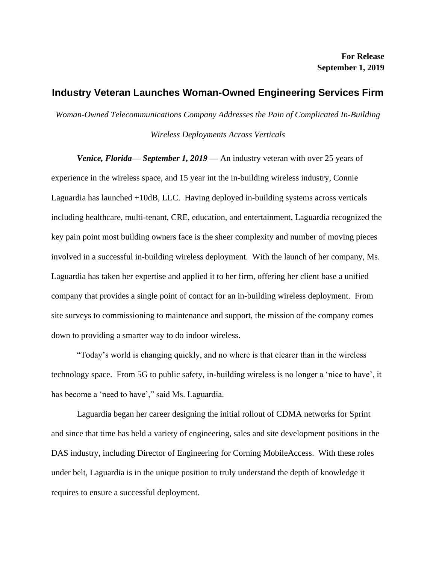## **Industry Veteran Launches Woman-Owned Engineering Services Firm**

*Woman-Owned Telecommunications Company Addresses the Pain of Complicated In-Building* 

*Wireless Deployments Across Verticals*

*Venice, Florida— September 1, 2019* — An industry veteran with over 25 years of experience in the wireless space, and 15 year int the in-building wireless industry, Connie Laguardia has launched +10dB, LLC. Having deployed in-building systems across verticals including healthcare, multi-tenant, CRE, education, and entertainment, Laguardia recognized the key pain point most building owners face is the sheer complexity and number of moving pieces involved in a successful in-building wireless deployment. With the launch of her company, Ms. Laguardia has taken her expertise and applied it to her firm, offering her client base a unified company that provides a single point of contact for an in-building wireless deployment. From site surveys to commissioning to maintenance and support, the mission of the company comes down to providing a smarter way to do indoor wireless.

"Today's world is changing quickly, and no where is that clearer than in the wireless technology space. From 5G to public safety, in-building wireless is no longer a 'nice to have', it has become a 'need to have'," said Ms. Laguardia.

Laguardia began her career designing the initial rollout of CDMA networks for Sprint and since that time has held a variety of engineering, sales and site development positions in the DAS industry, including Director of Engineering for Corning MobileAccess. With these roles under belt, Laguardia is in the unique position to truly understand the depth of knowledge it requires to ensure a successful deployment.